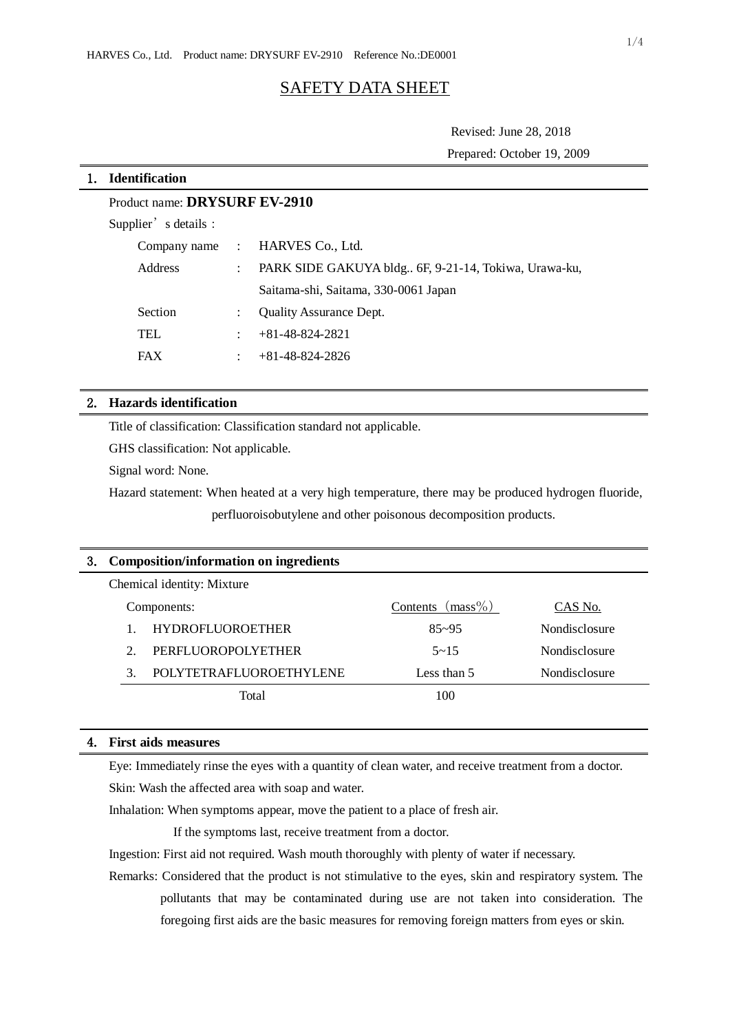# SAFETY DATA SHEET

Revised: June 28, 2018 Prepared: October 19, 2009

# 1. **Identification**

# Product name: **DRYSURF EV-2910**

Supplier's details:

|            | Company name : HARVES Co., Ltd.                      |
|------------|------------------------------------------------------|
| Address    | PARK SIDE GAKUYA bldg 6F, 9-21-14, Tokiwa, Urawa-ku, |
|            | Saitama-shi, Saitama, 330-0061 Japan                 |
| Section    | <b>Quality Assurance Dept.</b>                       |
| <b>TEL</b> | $+81-48-824-2821$                                    |
| <b>FAX</b> | $+81-48-824-2826$                                    |

# 2. **Hazards identification**

Title of classification: Classification standard not applicable.

GHS classification: Not applicable.

Signal word: None.

Hazard statement: When heated at a very high temperature, there may be produced hydrogen fluoride,

perfluoroisobutylene and other poisonous decomposition products.

| 3. | Composition/information on ingredients |                         |                     |               |  |  |  |
|----|----------------------------------------|-------------------------|---------------------|---------------|--|--|--|
|    | Chemical identity: Mixture             |                         |                     |               |  |  |  |
|    | Components:                            |                         | Contents $(mass\%)$ | CAS No.       |  |  |  |
|    | 1.                                     | <b>HYDROFLUOROETHER</b> | $85 - 95$           | Nondisclosure |  |  |  |
|    | $\mathcal{D}$                          | PERFLUOROPOLYETHER      | $5 - 15$            | Nondisclosure |  |  |  |
|    | $\mathcal{F}$                          | POLYTETRAFLUOROETHYLENE | Less than 5         | Nondisclosure |  |  |  |
|    |                                        | Total                   | 100                 |               |  |  |  |
|    |                                        |                         |                     |               |  |  |  |

### 4. **First aids measures**

Eye: Immediately rinse the eyes with a quantity of clean water, and receive treatment from a doctor.

Skin: Wash the affected area with soap and water.

Inhalation: When symptoms appear, move the patient to a place of fresh air.

If the symptoms last, receive treatment from a doctor.

Ingestion: First aid not required. Wash mouth thoroughly with plenty of water if necessary.

Remarks: Considered that the product is not stimulative to the eyes, skin and respiratory system. The pollutants that may be contaminated during use are not taken into consideration. The foregoing first aids are the basic measures for removing foreign matters from eyes or skin.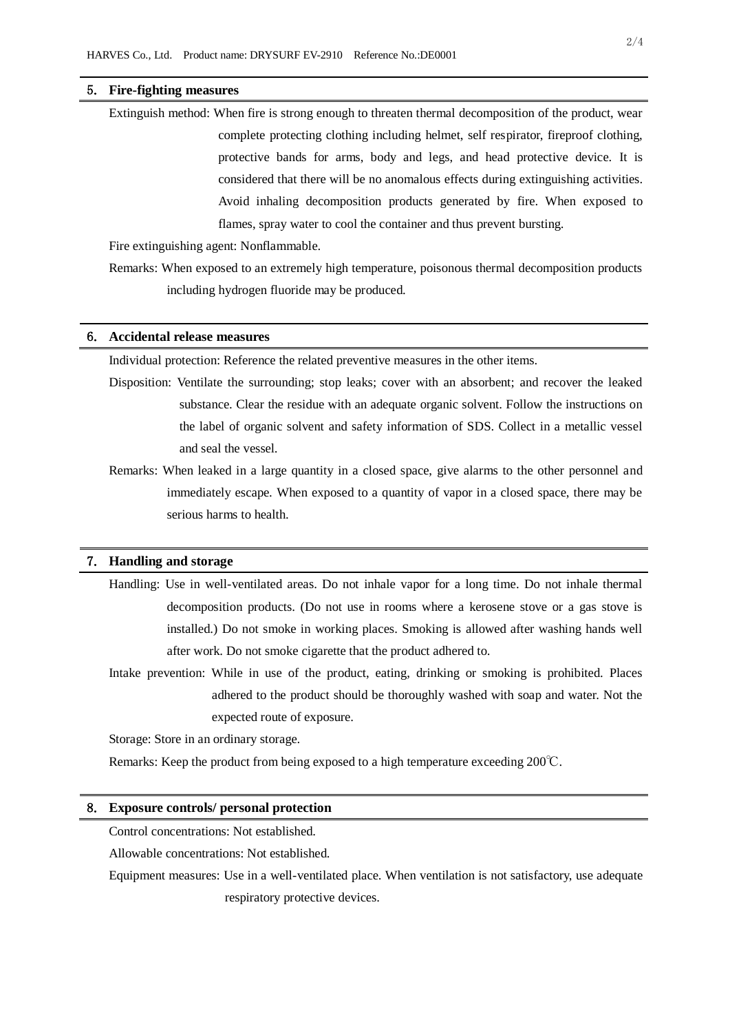#### 5. **Fire-fighting measures**

Extinguish method: When fire is strong enough to threaten thermal decomposition of the product, wear complete protecting clothing including helmet, self respirator, fireproof clothing, protective bands for arms, body and legs, and head protective device. It is considered that there will be no anomalous effects during extinguishing activities. Avoid inhaling decomposition products generated by fire. When exposed to flames, spray water to cool the container and thus prevent bursting.

Fire extinguishing agent: Nonflammable.

Remarks: When exposed to an extremely high temperature, poisonous thermal decomposition products including hydrogen fluoride may be produced.

#### 6. **Accidental release measures**

Individual protection: Reference the related preventive measures in the other items.

Disposition: Ventilate the surrounding; stop leaks; cover with an absorbent; and recover the leaked substance. Clear the residue with an adequate organic solvent. Follow the instructions on the label of organic solvent and safety information of SDS. Collect in a metallic vessel and seal the vessel.

Remarks: When leaked in a large quantity in a closed space, give alarms to the other personnel and immediately escape. When exposed to a quantity of vapor in a closed space, there may be serious harms to health.

### 7. **Handling and storage**

- Handling: Use in well-ventilated areas. Do not inhale vapor for a long time. Do not inhale thermal decomposition products. (Do not use in rooms where a kerosene stove or a gas stove is installed.) Do not smoke in working places. Smoking is allowed after washing hands well after work. Do not smoke cigarette that the product adhered to.
- Intake prevention: While in use of the product, eating, drinking or smoking is prohibited. Places adhered to the product should be thoroughly washed with soap and water. Not the expected route of exposure.

Storage: Store in an ordinary storage.

Remarks: Keep the product from being exposed to a high temperature exceeding 200℃.

#### 8. **Exposure controls/ personal protection**

Control concentrations: Not established.

Allowable concentrations: Not established.

Equipment measures: Use in a well-ventilated place. When ventilation is not satisfactory, use adequate respiratory protective devices.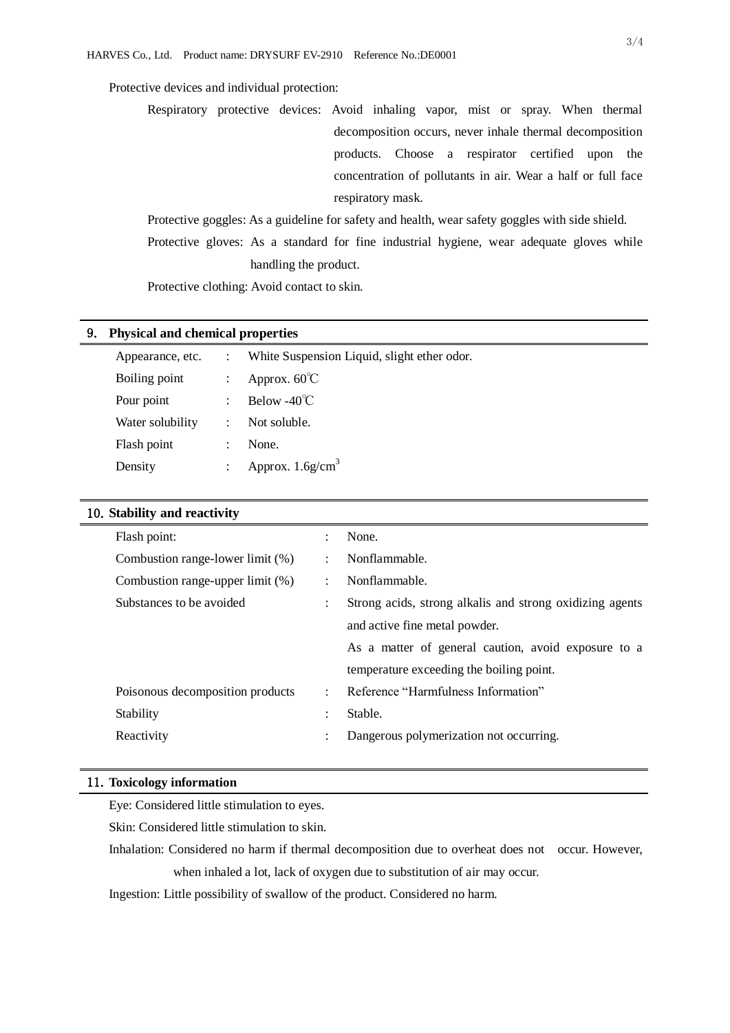# Protective devices and individual protection:

Respiratory protective devices: Avoid inhaling vapor, mist or spray. When thermal decomposition occurs, never inhale thermal decomposition products. Choose a respirator certified upon the concentration of pollutants in air. Wear a half or full face respiratory mask.

Protective goggles: As a guideline for safety and health, wear safety goggles with side shield. Protective gloves: As a standard for fine industrial hygiene, wear adequate gloves while handling the product.

Protective clothing: Avoid contact to skin.

#### 9. **Physical and chemical properties**

| Appearance, etc. |                      | White Suspension Liquid, slight ether odor. |
|------------------|----------------------|---------------------------------------------|
| Boiling point    |                      | Approx. $60^{\circ}$ C                      |
| Pour point       |                      | Below -40 $\degree$ C                       |
| Water solubility |                      | Not soluble.                                |
| Flash point      | $\ddot{\phantom{a}}$ | None.                                       |
| Density          | $\ddot{\phantom{a}}$ | Approx. $1.6$ g/cm <sup>3</sup>             |

# 10.**Stability and reactivity**

| Flash point:                     |                      | None.                                                    |
|----------------------------------|----------------------|----------------------------------------------------------|
| Combustion range-lower limit (%) | $\ddot{\cdot}$       | Nonflammable.                                            |
| Combustion range-upper limit (%) | $\ddot{\cdot}$       | Nonflammable.                                            |
| Substances to be avoided         | $\ddot{\cdot}$       | Strong acids, strong alkalis and strong oxidizing agents |
|                                  |                      | and active fine metal powder.                            |
|                                  |                      | As a matter of general caution, avoid exposure to a      |
|                                  |                      | temperature exceeding the boiling point.                 |
| Poisonous decomposition products | $\ddot{\phantom{a}}$ | Reference "Harmfulness Information"                      |
| Stability                        | ٠                    | Stable.                                                  |
| Reactivity                       | $\bullet$            | Dangerous polymerization not occurring.                  |
|                                  |                      |                                                          |

## 11.**Toxicology information**

Eye: Considered little stimulation to eyes.

Skin: Considered little stimulation to skin.

Inhalation: Considered no harm if thermal decomposition due to overheat does not occur. However, when inhaled a lot, lack of oxygen due to substitution of air may occur.

Ingestion: Little possibility of swallow of the product. Considered no harm.